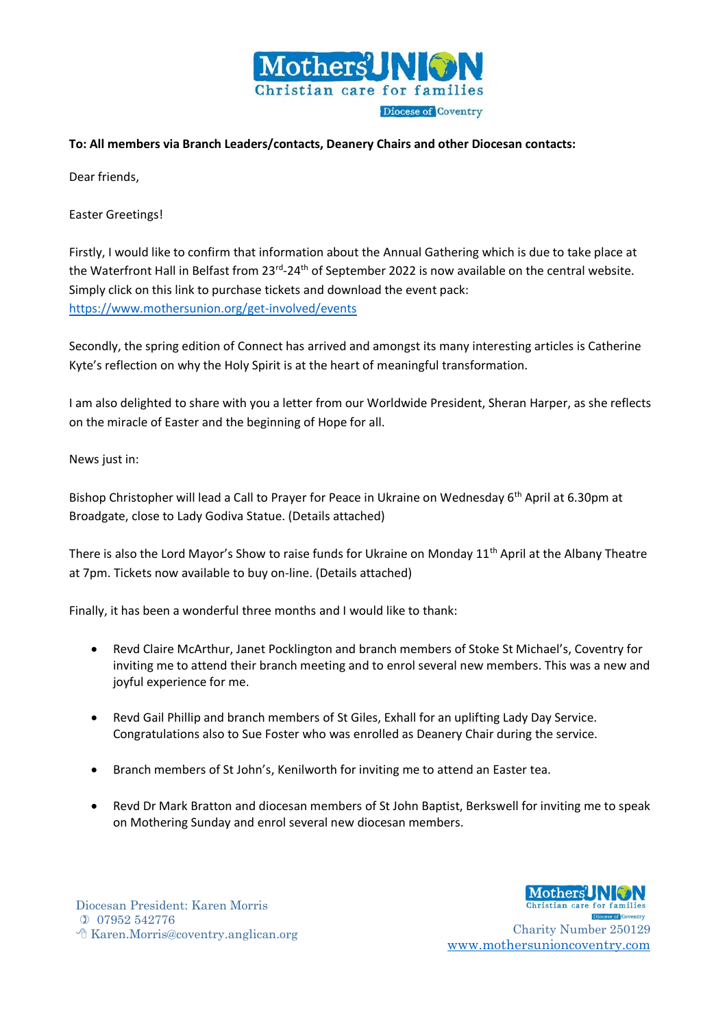

## **To: All members via Branch Leaders/contacts, Deanery Chairs and other Diocesan contacts:**

Dear friends,

Easter Greetings!

Firstly, I would like to confirm that information about the Annual Gathering which is due to take place at the Waterfront Hall in Belfast from 23<sup>rd</sup>-24<sup>th</sup> of September 2022 is now available on the central website. Simply click on this link to purchase tickets and download the event pack: <https://www.mothersunion.org/get-involved/events>

Secondly, the spring edition of Connect has arrived and amongst its many interesting articles is Catherine Kyte's reflection on why the Holy Spirit is at the heart of meaningful transformation.

I am also delighted to share with you a letter from our Worldwide President, Sheran Harper, as she reflects on the miracle of Easter and the beginning of Hope for all.

## News just in:

Bishop Christopher will lead a Call to Prayer for Peace in Ukraine on Wednesday 6<sup>th</sup> April at 6.30pm at Broadgate, close to Lady Godiva Statue. (Details attached)

There is also the Lord Mayor's Show to raise funds for Ukraine on Monday 11<sup>th</sup> April at the Albany Theatre at 7pm. Tickets now available to buy on-line. (Details attached)

Finally, it has been a wonderful three months and I would like to thank:

- Revd Claire McArthur, Janet Pocklington and branch members of Stoke St Michael's, Coventry for inviting me to attend their branch meeting and to enrol several new members. This was a new and joyful experience for me.
- Revd Gail Phillip and branch members of St Giles, Exhall for an uplifting Lady Day Service. Congratulations also to Sue Foster who was enrolled as Deanery Chair during the service.
- Branch members of St John's, Kenilworth for inviting me to attend an Easter tea.
- Revd Dr Mark Bratton and diocesan members of St John Baptist, Berkswell for inviting me to speak on Mothering Sunday and enrol several new diocesan members.